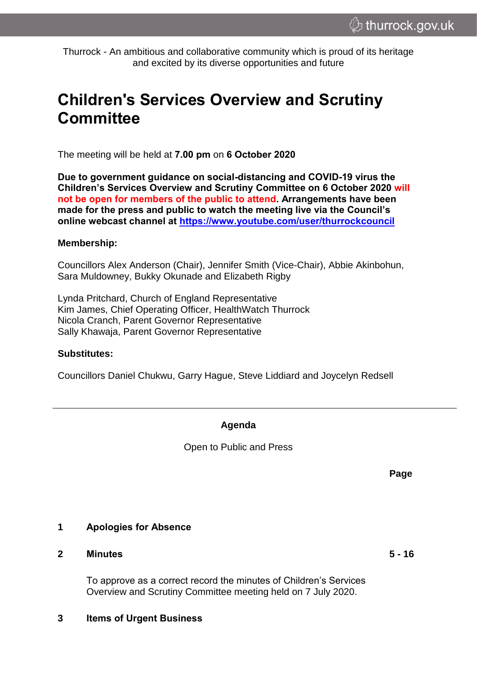Thurrock - An ambitious and collaborative community which is proud of its heritage and excited by its diverse opportunities and future

# **Children's Services Overview and Scrutiny Committee**

The meeting will be held at **7.00 pm** on **6 October 2020**

**Due to government guidance on social-distancing and COVID-19 virus the Children's Services Overview and Scrutiny Committee on 6 October 2020 will not be open for members of the public to attend. Arrangements have been made for the press and public to watch the meeting live via the Council's online webcast channel at<https://www.youtube.com/user/thurrockcouncil>**

#### **Membership:**

Councillors Alex Anderson (Chair), Jennifer Smith (Vice-Chair), Abbie Akinbohun, Sara Muldowney, Bukky Okunade and Elizabeth Rigby

Lynda Pritchard, Church of England Representative Kim James, Chief Operating Officer, HealthWatch Thurrock Nicola Cranch, Parent Governor Representative Sally Khawaja, Parent Governor Representative

#### **Substitutes:**

Councillors Daniel Chukwu, Garry Hague, Steve Liddiard and Joycelyn Redsell

## **Agenda**

Open to Public and Press

**Page**

### **1 Apologies for Absence**

### **2 Minutes 5 - 16**

To approve as a correct record the minutes of Children's Services Overview and Scrutiny Committee meeting held on 7 July 2020.

### **3 Items of Urgent Business**